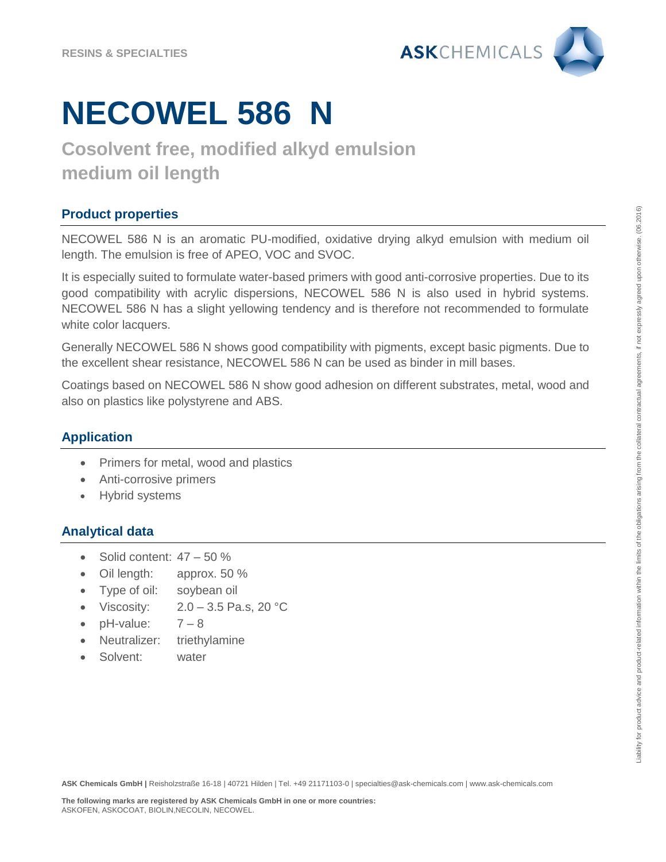

# **NECOWEL 586 N**

### **Cosolvent free, modified alkyd emulsion medium oil length**

### **Product properties**

NECOWEL 586 N is an aromatic PU-modified, oxidative drying alkyd emulsion with medium oil length. The emulsion is free of APEO, VOC and SVOC.

It is especially suited to formulate water-based primers with good anti-corrosive properties. Due to its good compatibility with acrylic dispersions, NECOWEL 586 N is also used in hybrid systems. NECOWEL 586 N has a slight yellowing tendency and is therefore not recommended to formulate white color lacquers.

Generally NECOWEL 586 N shows good compatibility with pigments, except basic pigments. Due to the excellent shear resistance, NECOWEL 586 N can be used as binder in mill bases.

Coatings based on NECOWEL 586 N show good adhesion on different substrates, metal, wood and also on plastics like polystyrene and ABS.

#### **Application**

- Primers for metal, wood and plastics
- Anti-corrosive primers
- Hybrid systems

#### **Analytical data**

- $\bullet$  Solid content:  $47 50\%$
- Oil length: approx. 50 %
- Type of oil: soybean oil
- Viscosity:  $2.0 3.5$  Pa.s, 20 °C
- $\bullet$  pH-value:  $7-8$
- Neutralizer: triethylamine
- Solvent: water

**ASK Chemicals GmbH |** Reisholzstraße 16-18 | 40721 Hilden | Tel. +49 21171103-0 | specialties@ask-chemicals.com | www.ask-chemicals.com